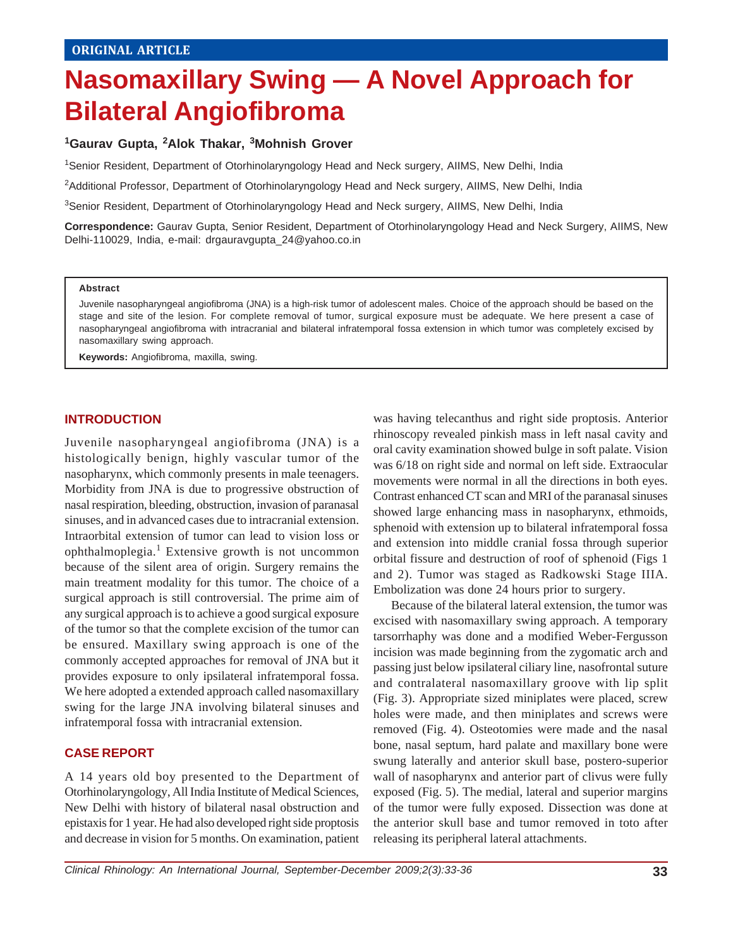# **Nasomaxillary Swing — A Novel Approach for Bilateral Angiofibroma**

### **1Gaurav Gupta, 2Alok Thakar, 3Mohnish Grover**

1 Senior Resident, Department of Otorhinolaryngology Head and Neck surgery, AIIMS, New Delhi, India

2Additional Professor, Department of Otorhinolaryngology Head and Neck surgery, AIIMS, New Delhi, India

<sup>3</sup>Senior Resident, Department of Otorhinolaryngology Head and Neck surgery, AIIMS, New Delhi, India

**Correspondence:** Gaurav Gupta, Senior Resident, Department of Otorhinolaryngology Head and Neck Surgery, AIIMS, New Delhi-110029, India, e-mail: drgauravgupta\_24@yahoo.co.in

#### **Abstract**

Juvenile nasopharyngeal angiofibroma (JNA) is a high-risk tumor of adolescent males. Choice of the approach should be based on the stage and site of the lesion. For complete removal of tumor, surgical exposure must be adequate. We here present a case of nasopharyngeal angiofibroma with intracranial and bilateral infratemporal fossa extension in which tumor was completely excised by nasomaxillary swing approach.

**Keywords:** Angiofibroma, maxilla, swing.

#### **INTRODUCTION**

Juvenile nasopharyngeal angiofibroma (JNA) is a histologically benign, highly vascular tumor of the nasopharynx, which commonly presents in male teenagers. Morbidity from JNA is due to progressive obstruction of nasal respiration, bleeding, obstruction, invasion of paranasal sinuses, and in advanced cases due to intracranial extension. Intraorbital extension of tumor can lead to vision loss or ophthalmoplegia.<sup>1</sup> Extensive growth is not uncommon because of the silent area of origin. Surgery remains the main treatment modality for this tumor. The choice of a surgical approach is still controversial. The prime aim of any surgical approach is to achieve a good surgical exposure of the tumor so that the complete excision of the tumor can be ensured. Maxillary swing approach is one of the commonly accepted approaches for removal of JNA but it provides exposure to only ipsilateral infratemporal fossa. We here adopted a extended approach called nasomaxillary swing for the large JNA involving bilateral sinuses and infratemporal fossa with intracranial extension.

#### **CASE REPORT**

A 14 years old boy presented to the Department of Otorhinolaryngology, All India Institute of Medical Sciences, New Delhi with history of bilateral nasal obstruction and epistaxis for 1 year. He had also developed right side proptosis and decrease in vision for 5 months. On examination, patient

was having telecanthus and right side proptosis. Anterior rhinoscopy revealed pinkish mass in left nasal cavity and oral cavity examination showed bulge in soft palate. Vision was 6/18 on right side and normal on left side. Extraocular movements were normal in all the directions in both eyes. Contrast enhanced CT scan and MRI of the paranasal sinuses showed large enhancing mass in nasopharynx, ethmoids, sphenoid with extension up to bilateral infratemporal fossa and extension into middle cranial fossa through superior orbital fissure and destruction of roof of sphenoid (Figs 1 and 2). Tumor was staged as Radkowski Stage IIIA. Embolization was done 24 hours prior to surgery.

Because of the bilateral lateral extension, the tumor was excised with nasomaxillary swing approach. A temporary tarsorrhaphy was done and a modified Weber-Fergusson incision was made beginning from the zygomatic arch and passing just below ipsilateral ciliary line, nasofrontal suture and contralateral nasomaxillary groove with lip split (Fig. 3). Appropriate sized miniplates were placed, screw holes were made, and then miniplates and screws were removed (Fig. 4). Osteotomies were made and the nasal bone, nasal septum, hard palate and maxillary bone were swung laterally and anterior skull base, postero-superior wall of nasopharynx and anterior part of clivus were fully exposed (Fig. 5). The medial, lateral and superior margins of the tumor were fully exposed. Dissection was done at the anterior skull base and tumor removed in toto after releasing its peripheral lateral attachments.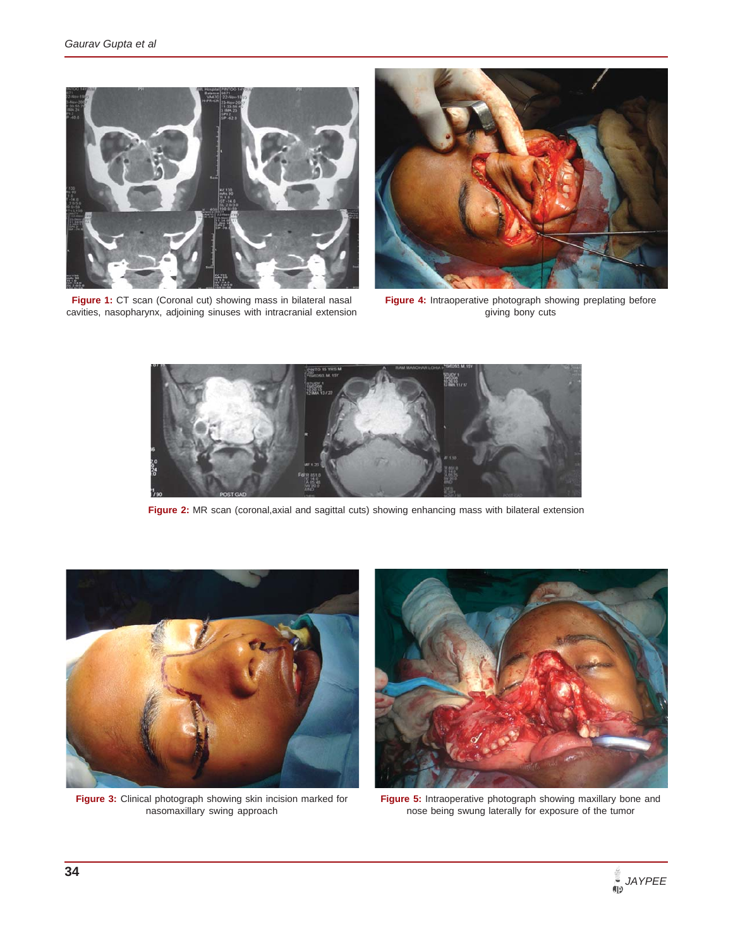

Figure 1: CT scan (Coronal cut) showing mass in bilateral nasal cavities, nasopharynx, adjoining sinuses with intracranial extension



**Figure 4:** Intraoperative photograph showing preplating before giving bony cuts



**Figure 2:** MR scan (coronal,axial and sagittal cuts) showing enhancing mass with bilateral extension



**Figure 3:** Clinical photograph showing skin incision marked for nasomaxillary swing approach



**Figure 5:** Intraoperative photograph showing maxillary bone and nose being swung laterally for exposure of the tumor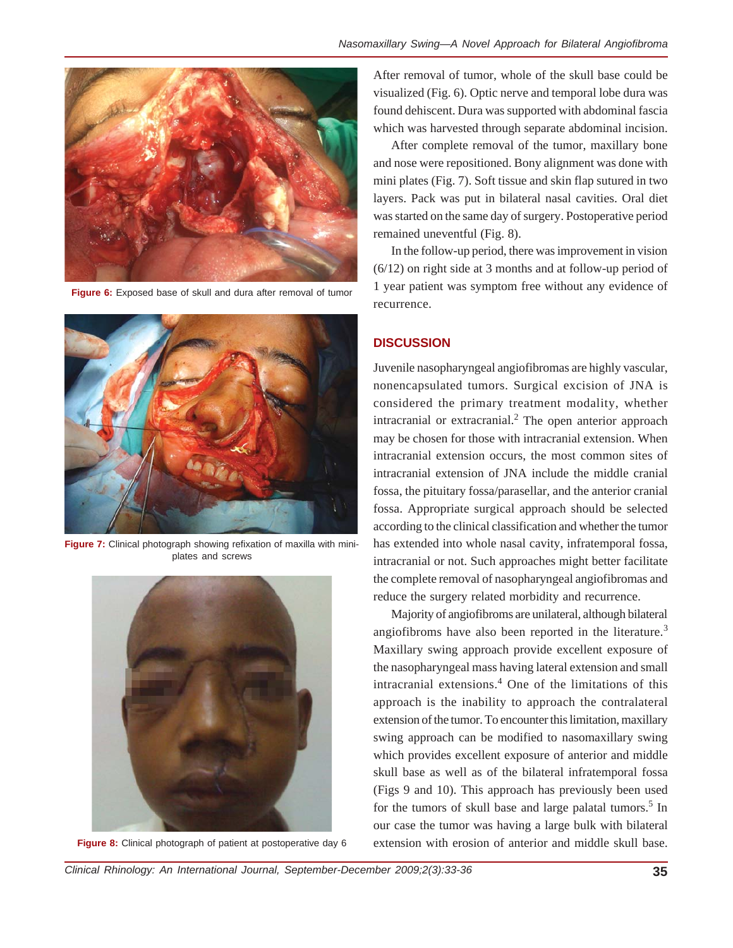

**Figure 6:** Exposed base of skull and dura after removal of tumor



Figure 7: Clinical photograph showing refixation of maxilla with miniplates and screws



**Figure 8:** Clinical photograph of patient at postoperative day 6

After removal of tumor, whole of the skull base could be visualized (Fig. 6). Optic nerve and temporal lobe dura was found dehiscent. Dura was supported with abdominal fascia which was harvested through separate abdominal incision.

After complete removal of the tumor, maxillary bone and nose were repositioned. Bony alignment was done with mini plates (Fig. 7). Soft tissue and skin flap sutured in two layers. Pack was put in bilateral nasal cavities. Oral diet was started on the same day of surgery. Postoperative period remained uneventful (Fig. 8).

In the follow-up period, there was improvement in vision (6/12) on right side at 3 months and at follow-up period of 1 year patient was symptom free without any evidence of recurrence.

### **DISCUSSION**

Juvenile nasopharyngeal angiofibromas are highly vascular, nonencapsulated tumors. Surgical excision of JNA is considered the primary treatment modality, whether intracranial or extracranial. $<sup>2</sup>$  The open anterior approach</sup> may be chosen for those with intracranial extension. When intracranial extension occurs, the most common sites of intracranial extension of JNA include the middle cranial fossa, the pituitary fossa/parasellar, and the anterior cranial fossa. Appropriate surgical approach should be selected according to the clinical classification and whether the tumor has extended into whole nasal cavity, infratemporal fossa, intracranial or not. Such approaches might better facilitate the complete removal of nasopharyngeal angiofibromas and reduce the surgery related morbidity and recurrence.

Majority of angiofibroms are unilateral, although bilateral angiofibroms have also been reported in the literature.<sup>3</sup> Maxillary swing approach provide excellent exposure of the nasopharyngeal mass having lateral extension and small intracranial extensions.<sup>4</sup> One of the limitations of this approach is the inability to approach the contralateral extension of the tumor. To encounter this limitation, maxillary swing approach can be modified to nasomaxillary swing which provides excellent exposure of anterior and middle skull base as well as of the bilateral infratemporal fossa (Figs 9 and 10). This approach has previously been used for the tumors of skull base and large palatal tumors.<sup>5</sup> In our case the tumor was having a large bulk with bilateral extension with erosion of anterior and middle skull base.